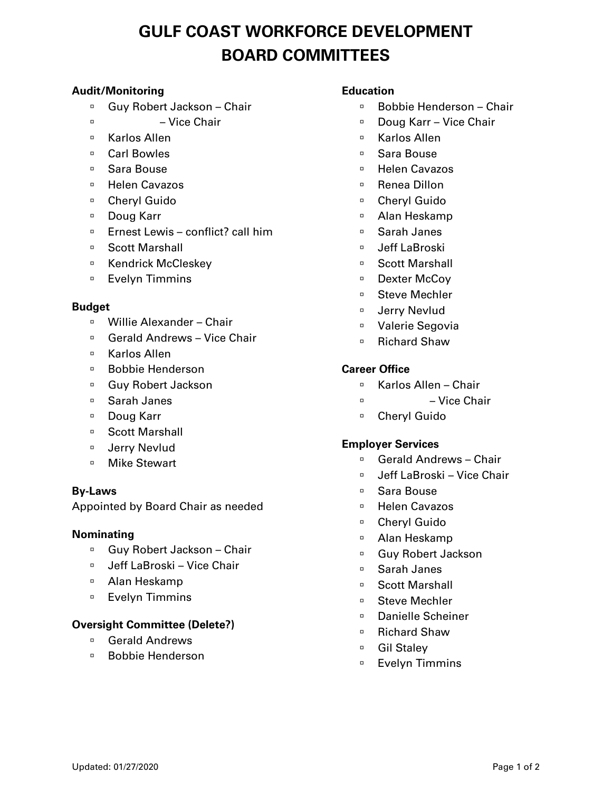# **GULF COAST WORKFORCE DEVELOPMENT BOARD COMMITTEES**

# **Audit/Monitoring**

- □ Guy Robert Jackson Chair
- $\overline{a}$  Vice Chair
- □ Karlos Allen
- □ Carl Bowles
- □ Sara Bouse
- □ Helen Cavazos
- Cheryl Guido
- □ Doug Karr
- □ Ernest Lewis conflict? call him
- Scott Marshall
- Kendrick McCleskev
- □ Evelyn Timmins

#### **Budget**

- Willie Alexander Chair
- □ Gerald Andrews Vice Chair
- □ Karlos Allen
- □ Bobbie Henderson
- □ Guy Robert Jackson
- Sarah Janes
- □ Doug Karr
- □ Scott Marshall
- D Jerry Nevlud
- □ Mike Stewart

#### **By-Laws**

Appointed by Board Chair as needed

#### **Nominating**

- □ Guy Robert Jackson Chair
- □ Jeff LaBroski Vice Chair
- Alan Heskamp
- **Evelyn Timmins**

# **Oversight Committee (Delete?)**

- Gerald Andrews
- □ Bobbie Henderson

## **Education**

- □ Bobbie Henderson Chair
- □ Doug Karr Vice Chair
- Karlos Allen
- Sara Bouse
- □ Helen Cavazos
- □ Renea Dillon
- Cheryl Guido
- Alan Heskamp
- Sarah Janes
- Jeff LaBroski
- Scott Marshall
- □ Dexter McCoy
- Steve Mechler
- D Jerry Nevlud
- Valerie Segovia
- Richard Shaw

#### **Career Office**

- □ Karlos Allen Chair
- Vice Chair
- Cheryl Guido

#### **Employer Services**

- Gerald Andrews Chair
- □ Jeff LaBroski Vice Chair
- Sara Bouse
- □ Helen Cavazos
- Cheryl Guido
- Alan Heskamp
- Guy Robert Jackson
- Sarah Janes
- Scott Marshall
- □ Steve Mechler
- Danielle Scheiner
- Richard Shaw
- <sup>D</sup> Gil Staley
- □ Evelyn Timmins